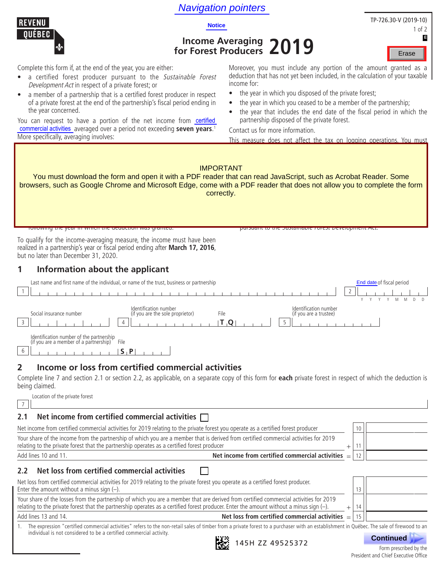# **Navigation pointers**<br>Notice



# **Income Averaging for Forest Producers 2019**

| TP-726.30-V (2019-10) |  |        |
|-----------------------|--|--------|
|                       |  | 1 of 2 |
|                       |  | E      |
|                       |  |        |

Erase

Complete this form if, at the end of the year, you are either:

- a certified forest producer pursuant to the Sustainable Forest Development Act in respect of a private forest; or
- a member of a partnership that is a certified forest producer in respect of a private forest at the end of the partnership's fiscal period ending in the year concerned.

You can request to have a portion of the net income from certified commercial activities averaged over a period not exceeding seven years.<sup>1</sup> More specifically, averaging involves:

Moreover, you must include any portion of the amount granted as a deduction that has not yet been included, in the calculation of your taxable income for:

- the year in which you disposed of the private forest;
- the year in which you ceased to be a member of the partnership;
- the year that includes the end date of the fiscal period in which the partnership disposed of the private forest.

Contact us for more information.

This measure does not affect the tax on logging operations. You must

| <b>IMPORTANT</b><br>You must download the form and open it with a PDF reader that can read JavaScript, such as Acrobat Reader. Some<br>browsers, such as Google Chrome and Microsoft Edge, come with a PDF reader that does not allow you to complete the form<br>correctly.                                                                                                                                                                                                                                                                                                                                                                                                    |    |                                                            |  |  |  |  |
|---------------------------------------------------------------------------------------------------------------------------------------------------------------------------------------------------------------------------------------------------------------------------------------------------------------------------------------------------------------------------------------------------------------------------------------------------------------------------------------------------------------------------------------------------------------------------------------------------------------------------------------------------------------------------------|----|------------------------------------------------------------|--|--|--|--|
| TUITUWING the year in which the deduction was granted.<br><del>pursuant to the <i>sustainable rolest Development</i> Act.</del>                                                                                                                                                                                                                                                                                                                                                                                                                                                                                                                                                 |    |                                                            |  |  |  |  |
| To qualify for the income-averaging measure, the income must have been<br>realized in a partnership's year or fiscal period ending after March 17, 2016,<br>but no later than December 31, 2020.                                                                                                                                                                                                                                                                                                                                                                                                                                                                                |    |                                                            |  |  |  |  |
| 1<br>Information about the applicant                                                                                                                                                                                                                                                                                                                                                                                                                                                                                                                                                                                                                                            |    |                                                            |  |  |  |  |
| Last name and first name of the individual, or name of the trust, business or partnership<br>2<br>-1<br>Identification number<br>Identification number<br>Social insurance number<br>(if you are the sole proprietor)<br>File<br>(if you are a trustee)<br>3<br>5<br>IT O<br>4<br>Identification number of the partnership<br>(if you are a member of a partnership)<br>File<br>6<br>$S \cdot P$<br>Income or loss from certified commercial activities<br>2<br>Complete line 7 and section 2.1 or section 2.2, as applicable, on a separate copy of this form for each private forest in respect of which the deduction is<br>being claimed.<br>Location of the private forest |    | End date of fiscal period<br>Y<br>Y M<br>M<br>$\mathsf{D}$ |  |  |  |  |
| $\overline{7}$                                                                                                                                                                                                                                                                                                                                                                                                                                                                                                                                                                                                                                                                  |    |                                                            |  |  |  |  |
| Net income from certified commercial activities $\Box$<br>2.1                                                                                                                                                                                                                                                                                                                                                                                                                                                                                                                                                                                                                   |    |                                                            |  |  |  |  |
| Net income from certified commercial activities for 2019 relating to the private forest you operate as a certified forest producer                                                                                                                                                                                                                                                                                                                                                                                                                                                                                                                                              | 10 |                                                            |  |  |  |  |
| Your share of the income from the partnership of which you are a member that is derived from certified commercial activities for 2019<br>relating to the private forest that the partnership operates as a certified forest producer<br>$\ddot{}$                                                                                                                                                                                                                                                                                                                                                                                                                               | 11 |                                                            |  |  |  |  |
| Net income from certified commercial activities<br>Add lines 10 and 11.                                                                                                                                                                                                                                                                                                                                                                                                                                                                                                                                                                                                         | 12 |                                                            |  |  |  |  |
| Net loss from certified commercial activities<br>2.2                                                                                                                                                                                                                                                                                                                                                                                                                                                                                                                                                                                                                            |    |                                                            |  |  |  |  |
| Net loss from certified commercial activities for 2019 relating to the private forest you operate as a certified forest producer.<br>Enter the amount without a minus sign $(-)$ .                                                                                                                                                                                                                                                                                                                                                                                                                                                                                              | 13 |                                                            |  |  |  |  |
| Your share of the losses from the partnership of which you are a member that are derived from certified commercial activities for 2019<br>relating to the private forest that the partnership operates as a certified forest producer. Enter the amount without a minus sign $(-)$ .<br>$+$                                                                                                                                                                                                                                                                                                                                                                                     | 14 |                                                            |  |  |  |  |
| Add lines 13 and 14.<br>Net loss from certified commercial activities $=$                                                                                                                                                                                                                                                                                                                                                                                                                                                                                                                                                                                                       | 15 |                                                            |  |  |  |  |
| The expression "certified commercial activities" refers to the non-retail sales of timber from a private forest to a purchaser with an establishment in Québec. The sale of firewood to an<br>individual is not considered to be a certified commercial activity.<br>145H ZZ 49525372                                                                                                                                                                                                                                                                                                                                                                                           |    | <b>Continued</b><br>Form prescribed by the                 |  |  |  |  |

Form prescribed by the President and Chief Executive Office